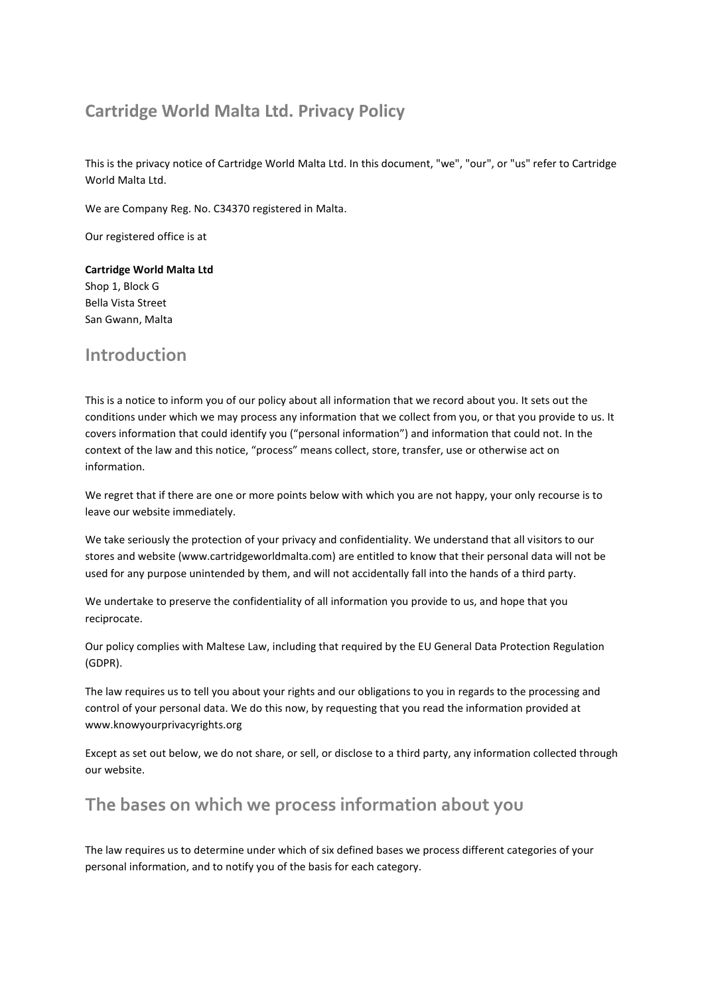# **Cartridge World Malta Ltd. Privacy Policy**

This is the privacy notice of Cartridge World Malta Ltd. In this document, "we", "our", or "us" refer to Cartridge World Malta Ltd.

We are Company Reg. No. C34370 registered in Malta.

Our registered office is at

**Cartridge World Malta Ltd** Shop 1, Block G Bella Vista Street San Gwann, Malta

# **Introduction**

This is a notice to inform you of our policy about all information that we record about you. It sets out the conditions under which we may process any information that we collect from you, or that you provide to us. It covers information that could identify you ("personal information") and information that could not. In the context of the law and this notice, "process" means collect, store, transfer, use or otherwise act on information.

We regret that if there are one or more points below with which you are not happy, your only recourse is to leave our website immediately.

We take seriously the protection of your privacy and confidentiality. We understand that all visitors to our stores and website (www.cartridgeworldmalta.com) are entitled to know that their personal data will not be used for any purpose unintended by them, and will not accidentally fall into the hands of a third party.

We undertake to preserve the confidentiality of all information you provide to us, and hope that you reciprocate.

Our policy complies with Maltese Law, including that required by the EU General Data Protection Regulation (GDPR).

The law requires us to tell you about your rights and our obligations to you in regards to the processing and control of your personal data. We do this now, by requesting that you read the information provided at www.knowyourprivacyrights.org

Except as set out below, we do not share, or sell, or disclose to a third party, any information collected through our website.

# **The bases on which we process information about you**

The law requires us to determine under which of six defined bases we process different categories of your personal information, and to notify you of the basis for each category.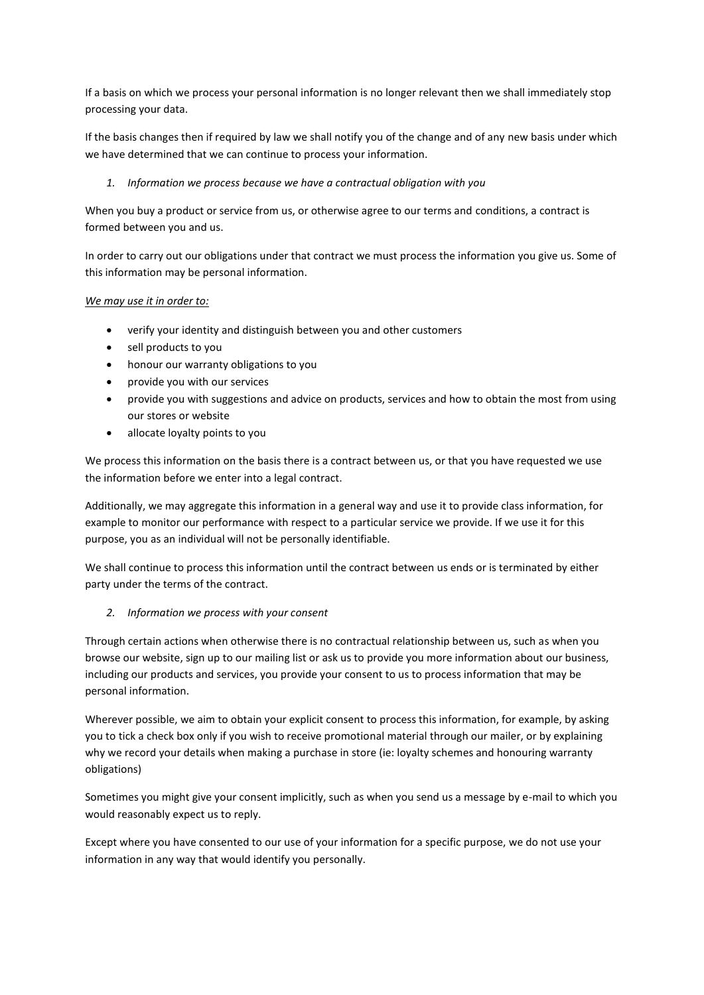If a basis on which we process your personal information is no longer relevant then we shall immediately stop processing your data.

If the basis changes then if required by law we shall notify you of the change and of any new basis under which we have determined that we can continue to process your information.

*1. Information we process because we have a contractual obligation with you* 

When you buy a product or service from us, or otherwise agree to our terms and conditions, a contract is formed between you and us.

In order to carry out our obligations under that contract we must process the information you give us. Some of this information may be personal information.

#### *We may use it in order to:*

- verify your identity and distinguish between you and other customers
- sell products to you
- honour our warranty obligations to you
- provide you with our services
- provide you with suggestions and advice on products, services and how to obtain the most from using our stores or website
- allocate loyalty points to you

We process this information on the basis there is a contract between us, or that you have requested we use the information before we enter into a legal contract.

Additionally, we may aggregate this information in a general way and use it to provide class information, for example to monitor our performance with respect to a particular service we provide. If we use it for this purpose, you as an individual will not be personally identifiable.

We shall continue to process this information until the contract between us ends or is terminated by either party under the terms of the contract.

#### *2. Information we process with your consent*

Through certain actions when otherwise there is no contractual relationship between us, such as when you browse our website, sign up to our mailing list or ask us to provide you more information about our business, including our products and services, you provide your consent to us to process information that may be personal information.

Wherever possible, we aim to obtain your explicit consent to process this information, for example, by asking you to tick a check box only if you wish to receive promotional material through our mailer, or by explaining why we record your details when making a purchase in store (ie: loyalty schemes and honouring warranty obligations)

Sometimes you might give your consent implicitly, such as when you send us a message by e-mail to which you would reasonably expect us to reply.

Except where you have consented to our use of your information for a specific purpose, we do not use your information in any way that would identify you personally.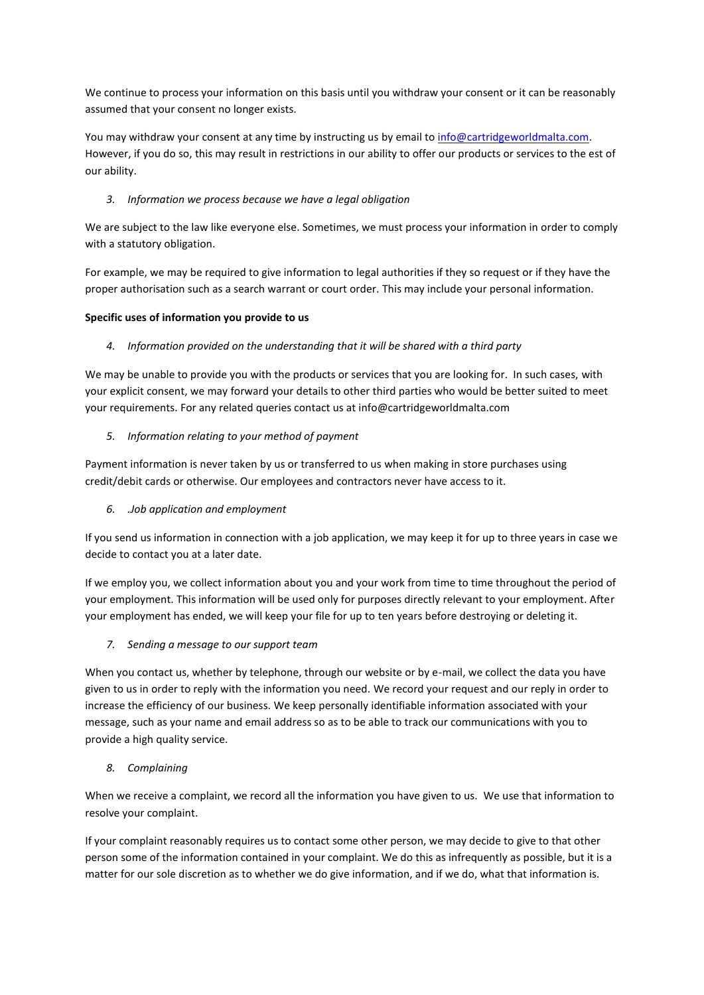We continue to process your information on this basis until you withdraw your consent or it can be reasonably assumed that your consent no longer exists.

You may withdraw your consent at any time by instructing us by email to info@cartridgeworldmalta.com. However, if you do so, this may result in restrictions in our ability to offer our products or services to the est of our ability.

# *3. Information we process because we have a legal obligation*

We are subject to the law like everyone else. Sometimes, we must process your information in order to comply with a statutory obligation.

For example, we may be required to give information to legal authorities if they so request or if they have the proper authorisation such as a search warrant or court order. This may include your personal information.

# **Specific uses of information you provide to us**

## *4. Information provided on the understanding that it will be shared with a third party*

We may be unable to provide you with the products or services that you are looking for. In such cases, with your explicit consent, we may forward your details to other third parties who would be better suited to meet your requirements. For any related queries contact us at info@cartridgeworldmalta.com

## *5. Information relating to your method of payment*

Payment information is never taken by us or transferred to us when making in store purchases using credit/debit cards or otherwise. Our employees and contractors never have access to it.

# *6. .Job application and employment*

If you send us information in connection with a job application, we may keep it for up to three years in case we decide to contact you at a later date.

If we employ you, we collect information about you and your work from time to time throughout the period of your employment. This information will be used only for purposes directly relevant to your employment. After your employment has ended, we will keep your file for up to ten years before destroying or deleting it.

# *7. Sending a message to our support team*

When you contact us, whether by telephone, through our website or by e-mail, we collect the data you have given to us in order to reply with the information you need. We record your request and our reply in order to increase the efficiency of our business. We keep personally identifiable information associated with your message, such as your name and email address so as to be able to track our communications with you to provide a high quality service.

#### *8. Complaining*

When we receive a complaint, we record all the information you have given to us. We use that information to resolve your complaint.

If your complaint reasonably requires us to contact some other person, we may decide to give to that other person some of the information contained in your complaint. We do this as infrequently as possible, but it is a matter for our sole discretion as to whether we do give information, and if we do, what that information is.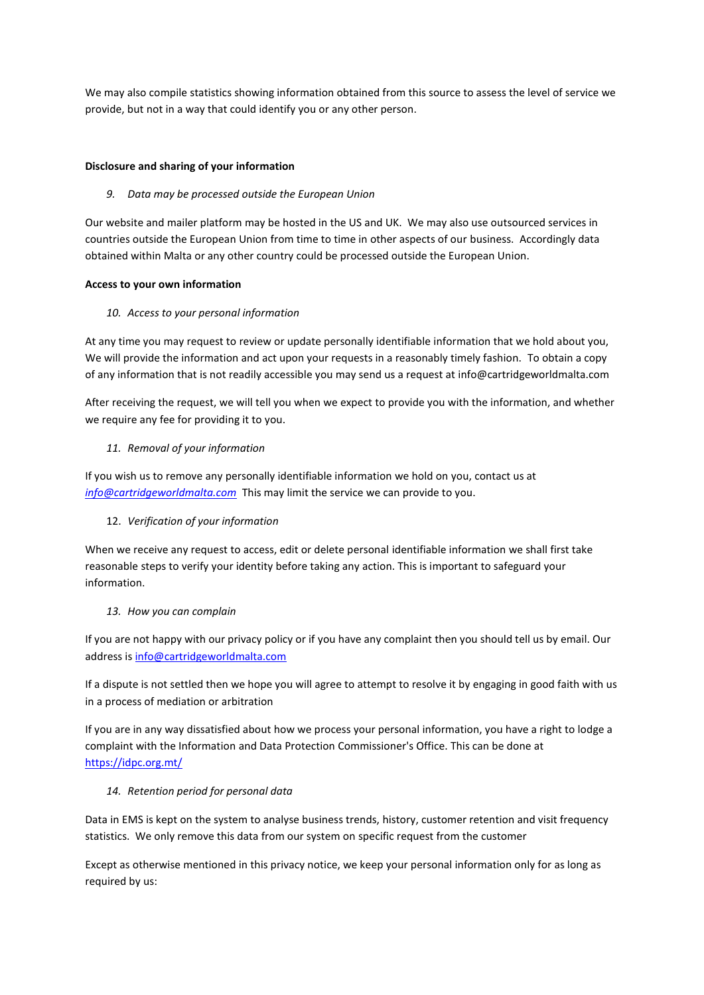We may also compile statistics showing information obtained from this source to assess the level of service we provide, but not in a way that could identify you or any other person.

## **Disclosure and sharing of your information**

## *9. Data may be processed outside the European Union*

Our website and mailer platform may be hosted in the US and UK. We may also use outsourced services in countries outside the European Union from time to time in other aspects of our business. Accordingly data obtained within Malta or any other country could be processed outside the European Union.

## **Access to your own information**

## *10. Access to your personal information*

At any time you may request to review or update personally identifiable information that we hold about you, We will provide the information and act upon your requests in a reasonably timely fashion. To obtain a copy of any information that is not readily accessible you may send us a request at info@cartridgeworldmalta.com

After receiving the request, we will tell you when we expect to provide you with the information, and whether we require any fee for providing it to you.

# *11. Removal of your information*

If you wish us to remove any personally identifiable information we hold on you, contact us at *[info@cartridgeworldmalta.com](mailto:info@cartridgeworldmalta.com)* This may limit the service we can provide to you.

# 12. *Verification of your information*

When we receive any request to access, edit or delete personal identifiable information we shall first take reasonable steps to verify your identity before taking any action. This is important to safeguard your information.

# *13. How you can complain*

If you are not happy with our privacy policy or if you have any complaint then you should tell us by email. Our address i[s info@cartridgeworldmalta.com](mailto:info@cartridgeworldmalta.com)

If a dispute is not settled then we hope you will agree to attempt to resolve it by engaging in good faith with us in a process of mediation or arbitration

If you are in any way dissatisfied about how we process your personal information, you have a right to lodge a complaint with the Information and Data Protection Commissioner's Office. This can be done at <https://idpc.org.mt/>

# *14. Retention period for personal data*

Data in EMS is kept on the system to analyse business trends, history, customer retention and visit frequency statistics. We only remove this data from our system on specific request from the customer

Except as otherwise mentioned in this privacy notice, we keep your personal information only for as long as required by us: